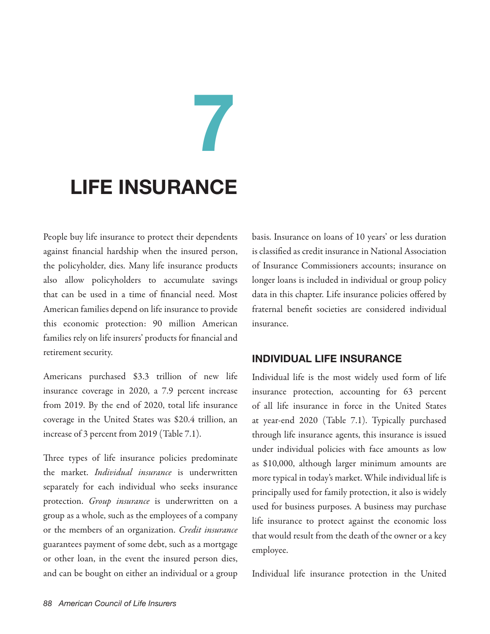# **Life Insurance**

 **7**

People buy life insurance to protect their dependents against financial hardship when the insured person, the policyholder, dies. Many life insurance products also allow policyholders to accumulate savings that can be used in a time of financial need. Most American families depend on life insurance to provide this economic protection: 90 million American families rely on life insurers' products for financial and retirement security.

Americans purchased \$3.3 trillion of new life insurance coverage in 2020, a 7.9 percent increase from 2019. By the end of 2020, total life insurance coverage in the United States was \$20.4 trillion, an increase of 3 percent from 2019 (Table 7.1).

Three types of life insurance policies predominate the market. *Individual insurance* is underwritten separately for each individual who seeks insurance protection. *Group insurance* is underwritten on a group as a whole, such as the employees of a company or the members of an organization. *Credit insurance* guarantees payment of some debt, such as a mortgage or other loan, in the event the insured person dies, and can be bought on either an individual or a group basis. Insurance on loans of 10 years' or less duration is classified as credit insurance in National Association of Insurance Commissioners accounts; insurance on longer loans is included in individual or group policy data in this chapter. Life insurance policies offered by fraternal benefit societies are considered individual insurance.

# **INDIVIDUAL LIFE INSURANCE**

Individual life is the most widely used form of life insurance protection, accounting for 63 percent of all life insurance in force in the United States at year-end 2020 (Table 7.1). Typically purchased through life insurance agents, this insurance is issued under individual policies with face amounts as low as \$10,000, although larger minimum amounts are more typical in today's market. While individual life is principally used for family protection, it also is widely used for business purposes. A business may purchase life insurance to protect against the economic loss that would result from the death of the owner or a key employee.

Individual life insurance protection in the United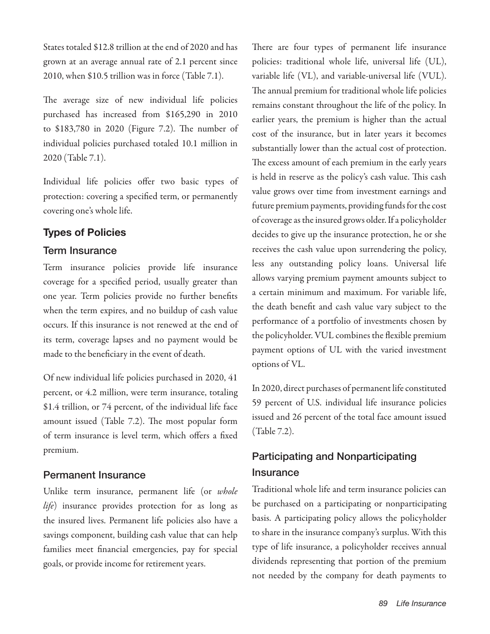States totaled \$12.8 trillion at the end of 2020 and has grown at an average annual rate of 2.1 percent since 2010, when \$10.5 trillion was in force (Table 7.1).

The average size of new individual life policies purchased has increased from \$165,290 in 2010 to \$183,780 in 2020 (Figure 7.2). The number of individual policies purchased totaled 10.1 million in 2020 (Table 7.1).

Individual life policies offer two basic types of protection: covering a specified term, or permanently covering one's whole life.

# **Types of Policies**

# Term Insurance

Term insurance policies provide life insurance coverage for a specified period, usually greater than one year. Term policies provide no further benefits when the term expires, and no buildup of cash value occurs. If this insurance is not renewed at the end of its term, coverage lapses and no payment would be made to the beneficiary in the event of death.

Of new individual life policies purchased in 2020, 41 percent, or 4.2 million, were term insurance, totaling \$1.4 trillion, or 74 percent, of the individual life face amount issued (Table 7.2). The most popular form of term insurance is level term, which offers a fixed premium.

# Permanent Insurance

Unlike term insurance, permanent life (or *whole life*) insurance provides protection for as long as the insured lives. Permanent life policies also have a savings component, building cash value that can help families meet financial emergencies, pay for special goals, or provide income for retirement years.

There are four types of permanent life insurance policies: traditional whole life, universal life (UL), variable life (VL), and variable-universal life (VUL). The annual premium for traditional whole life policies remains constant throughout the life of the policy. In earlier years, the premium is higher than the actual cost of the insurance, but in later years it becomes substantially lower than the actual cost of protection. The excess amount of each premium in the early years is held in reserve as the policy's cash value. This cash value grows over time from investment earnings and future premium payments, providing funds for the cost of coverage as the insured grows older. If a policyholder decides to give up the insurance protection, he or she receives the cash value upon surrendering the policy, less any outstanding policy loans. Universal life allows varying premium payment amounts subject to a certain minimum and maximum. For variable life, the death benefit and cash value vary subject to the performance of a portfolio of investments chosen by the policyholder. VUL combines the flexible premium payment options of UL with the varied investment options of VL.

In 2020, direct purchases of permanent life constituted 59 percent of U.S. individual life insurance policies issued and 26 percent of the total face amount issued (Table 7.2).

# Participating and Nonparticipating **Insurance**

Traditional whole life and term insurance policies can be purchased on a participating or nonparticipating basis. A participating policy allows the policyholder to share in the insurance company's surplus. With this type of life insurance, a policyholder receives annual dividends representing that portion of the premium not needed by the company for death payments to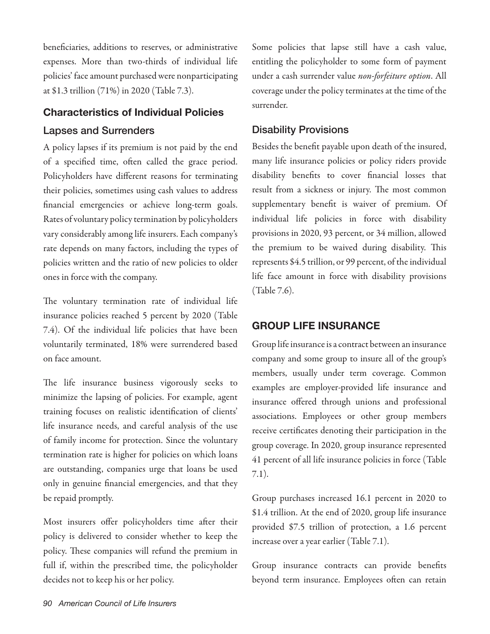beneficiaries, additions to reserves, or administrative expenses. More than two-thirds of individual life policies' face amount purchased were nonparticipating at \$1.3 trillion (71%) in 2020 (Table 7.3).

# **Characteristics of Individual Policies**

# Lapses and Surrenders

A policy lapses if its premium is not paid by the end of a specified time, often called the grace period. Policyholders have different reasons for terminating their policies, sometimes using cash values to address financial emergencies or achieve long-term goals. Rates of voluntary policy termination by policyholders vary considerably among life insurers. Each company's rate depends on many factors, including the types of policies written and the ratio of new policies to older ones in force with the company.

The voluntary termination rate of individual life insurance policies reached 5 percent by 2020 (Table 7.4). Of the individual life policies that have been voluntarily terminated, 18% were surrendered based on face amount.

The life insurance business vigorously seeks to minimize the lapsing of policies. For example, agent training focuses on realistic identification of clients' life insurance needs, and careful analysis of the use of family income for protection. Since the voluntary termination rate is higher for policies on which loans are outstanding, companies urge that loans be used only in genuine financial emergencies, and that they be repaid promptly.

Most insurers offer policyholders time after their policy is delivered to consider whether to keep the policy. These companies will refund the premium in full if, within the prescribed time, the policyholder decides not to keep his or her policy.

Some policies that lapse still have a cash value, entitling the policyholder to some form of payment under a cash surrender value *non-forfeiture option*. All coverage under the policy terminates at the time of the surrender.

# Disability Provisions

Besides the benefit payable upon death of the insured, many life insurance policies or policy riders provide disability benefits to cover financial losses that result from a sickness or injury. The most common supplementary benefit is waiver of premium. Of individual life policies in force with disability provisions in 2020, 93 percent, or 34 million, allowed the premium to be waived during disability. This represents \$4.5 trillion, or 99 percent, of the individual life face amount in force with disability provisions (Table 7.6).

# **GROUP LIFE INSURANCE**

Group life insurance is a contract between an insurance company and some group to insure all of the group's members, usually under term coverage. Common examples are employer-provided life insurance and insurance offered through unions and professional associations. Employees or other group members receive certificates denoting their participation in the group coverage. In 2020, group insurance represented 41 percent of all life insurance policies in force (Table 7.1).

Group purchases increased 16.1 percent in 2020 to \$1.4 trillion. At the end of 2020, group life insurance provided \$7.5 trillion of protection, a 1.6 percent increase over a year earlier (Table 7.1).

Group insurance contracts can provide benefits beyond term insurance. Employees often can retain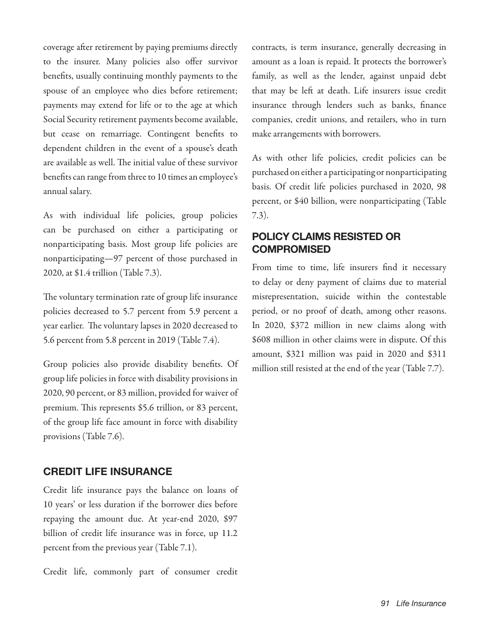coverage after retirement by paying premiums directly to the insurer. Many policies also offer survivor benefits, usually continuing monthly payments to the spouse of an employee who dies before retirement; payments may extend for life or to the age at which Social Security retirement payments become available, but cease on remarriage. Contingent benefits to dependent children in the event of a spouse's death are available as well. The initial value of these survivor benefits can range from three to 10 times an employee's annual salary.

As with individual life policies, group policies can be purchased on either a participating or nonparticipating basis. Most group life policies are nonparticipating—97 percent of those purchased in 2020, at \$1.4 trillion (Table 7.3).

The voluntary termination rate of group life insurance policies decreased to 5.7 percent from 5.9 percent a year earlier. The voluntary lapses in 2020 decreased to 5.6 percent from 5.8 percent in 2019 (Table 7.4).

Group policies also provide disability benefits. Of group life policies in force with disability provisions in 2020, 90 percent, or 83 million, provided for waiver of premium. This represents \$5.6 trillion, or 83 percent, of the group life face amount in force with disability provisions (Table 7.6).

# **CREDIT LIFE INSURANCE**

Credit life insurance pays the balance on loans of 10 years' or less duration if the borrower dies before repaying the amount due. At year-end 2020, \$97 billion of credit life insurance was in force, up 11.2 percent from the previous year (Table 7.1).

Credit life, commonly part of consumer credit

contracts, is term insurance, generally decreasing in amount as a loan is repaid. It protects the borrower's family, as well as the lender, against unpaid debt that may be left at death. Life insurers issue credit insurance through lenders such as banks, finance companies, credit unions, and retailers, who in turn make arrangements with borrowers.

As with other life policies, credit policies can be purchased on either a participating or nonparticipating basis. Of credit life policies purchased in 2020, 98 percent, or \$40 billion, were nonparticipating (Table 7.3).

# **POLICY CLAIMS RESISTED OR COMPROMISED**

From time to time, life insurers find it necessary to delay or deny payment of claims due to material misrepresentation, suicide within the contestable period, or no proof of death, among other reasons. In 2020, \$372 million in new claims along with \$608 million in other claims were in dispute. Of this amount, \$321 million was paid in 2020 and \$311 million still resisted at the end of the year (Table 7.7).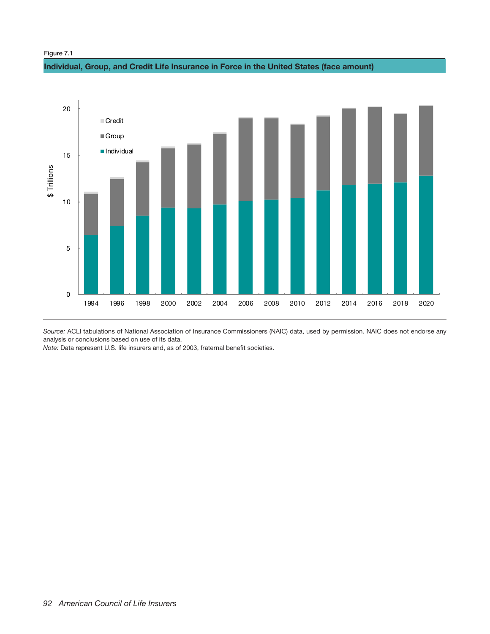## Figure 7.1

## **Individual, Group, and Credit Life Insurance in Force in the United States (face amount)**



*Source:* ACLI tabulations of National Association of Insurance Commissioners (NAIC) data, used by permission. NAIC does not endorse any analysis or conclusions based on use of its data.

*Note:* Data represent U.S. life insurers and, as of 2003, fraternal benefit societies.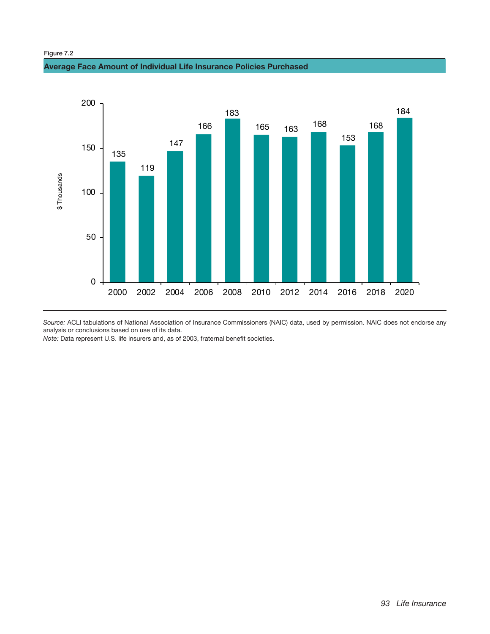Figure 7.2

## **Average Face Amount of Individual Life Insurance Policies Purchased**



*Source:* ACLI tabulations of National Association of Insurance Commissioners (NAIC) data, used by permission. NAIC does not endorse any analysis or conclusions based on use of its data.

*Note:* Data represent U.S. life insurers and, as of 2003, fraternal benefit societies.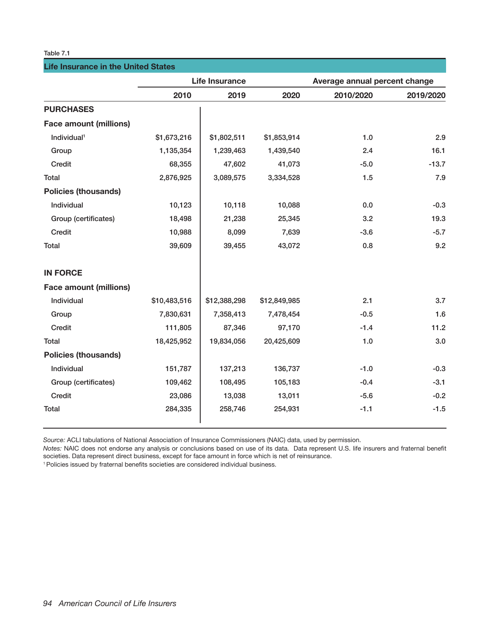## **Life Insurance in the United States**

|                               |              | <b>Life Insurance</b> | Average annual percent change |           |           |  |
|-------------------------------|--------------|-----------------------|-------------------------------|-----------|-----------|--|
|                               | 2010         | 2019                  | 2020                          | 2010/2020 | 2019/2020 |  |
| <b>PURCHASES</b>              |              |                       |                               |           |           |  |
| <b>Face amount (millions)</b> |              |                       |                               |           |           |  |
| Individual <sup>1</sup>       | \$1,673,216  | \$1,802,511           | \$1,853,914                   | 1.0       | 2.9       |  |
| Group                         | 1,135,354    | 1,239,463             | 1,439,540                     | 2.4       | 16.1      |  |
| Credit                        | 68,355       | 47,602                | 41,073                        | $-5.0$    | $-13.7$   |  |
| Total                         | 2,876,925    | 3,089,575             | 3,334,528                     | 1.5       | 7.9       |  |
| <b>Policies (thousands)</b>   |              |                       |                               |           |           |  |
| Individual                    | 10,123       | 10,118                | 10,088                        | 0.0       | $-0.3$    |  |
| Group (certificates)          | 18,498       | 21,238                | 25,345                        | 3.2       | 19.3      |  |
| Credit                        | 10,988       | 8,099                 | 7,639                         | $-3.6$    | $-5.7$    |  |
| Total                         | 39,609       | 39,455                | 43,072                        | 0.8       | 9.2       |  |
| <b>IN FORCE</b>               |              |                       |                               |           |           |  |
| <b>Face amount (millions)</b> |              |                       |                               |           |           |  |
| Individual                    | \$10,483,516 | \$12,388,298          | \$12,849,985                  | 2.1       | 3.7       |  |
| Group                         | 7,830,631    | 7,358,413             | 7,478,454                     | $-0.5$    | 1.6       |  |
| Credit                        | 111,805      | 87,346                | 97,170                        | $-1.4$    | 11.2      |  |
| Total                         | 18,425,952   | 19,834,056            | 20,425,609                    | 1.0       | 3.0       |  |
| <b>Policies (thousands)</b>   |              |                       |                               |           |           |  |
| Individual                    | 151,787      | 137,213               | 136,737                       | $-1.0$    | $-0.3$    |  |
| Group (certificates)          | 109,462      | 108,495               | 105,183                       | $-0.4$    | $-3.1$    |  |
| Credit                        | 23,086       | 13,038                | 13,011                        | $-5.6$    | $-0.2$    |  |
| Total                         | 284,335      | 258,746               | 254,931                       | $-1.1$    | $-1.5$    |  |

*Source:* ACLI tabulations of National Association of Insurance Commissioners (NAIC) data, used by permission.

*Notes:* NAIC does not endorse any analysis or conclusions based on use of its data. Data represent U.S. life insurers and fraternal benefit societies. Data represent direct business, except for face amount in force which is net of reinsurance.

<sup>1</sup> Policies issued by fraternal benefits societies are considered individual business.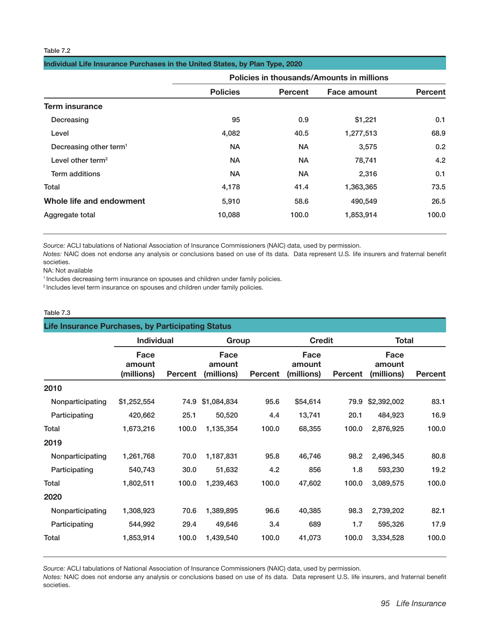|                                    |                 |                | Policies in thousands/Amounts in millions |                  |  |
|------------------------------------|-----------------|----------------|-------------------------------------------|------------------|--|
|                                    | <b>Policies</b> | <b>Percent</b> | Face amount                               | <b>Percent</b>   |  |
| <b>Term insurance</b>              |                 |                |                                           |                  |  |
| Decreasing                         | 95              | 0.9            | \$1,221                                   | 0.1              |  |
| Level                              | 4,082           | 40.5           | 1,277,513                                 | 68.9             |  |
| Decreasing other term <sup>1</sup> | <b>NA</b>       | <b>NA</b>      | 3,575                                     | 0.2 <sub>0</sub> |  |
| Level other term <sup>2</sup>      | <b>NA</b>       | <b>NA</b>      | 78,741                                    | 4.2              |  |
| <b>Term additions</b>              | <b>NA</b>       | <b>NA</b>      | 2,316                                     | 0.1              |  |
| Total                              | 4,178           | 41.4           | 1,363,365                                 | 73.5             |  |
| Whole life and endowment           | 5,910           | 58.6           | 490,549                                   | 26.5             |  |
| Aggregate total                    | 10,088          | 100.0          | 1,853,914                                 | 100.0            |  |

*Source:* ACLI tabulations of National Association of Insurance Commissioners (NAIC) data, used by permission.

*Notes:* NAIC does not endorse any analysis or conclusions based on use of its data. Data represent U.S. life insurers and fraternal benefit societies.

NA: Not available

<sup>1</sup> Includes decreasing term insurance on spouses and children under family policies.

<sup>2</sup> Includes level term insurance on spouses and children under family policies.

## Table 7.3

|                  | <b>Life Insurance Purchases, by Participating Status</b> |                |                              |                |                              |                |                              |                |  |  |
|------------------|----------------------------------------------------------|----------------|------------------------------|----------------|------------------------------|----------------|------------------------------|----------------|--|--|
|                  | <b>Individual</b>                                        |                | Group                        |                | <b>Credit</b>                |                | Total                        |                |  |  |
|                  | Face<br>amount<br>(millions)                             | <b>Percent</b> | Face<br>amount<br>(millions) | <b>Percent</b> | Face<br>amount<br>(millions) | <b>Percent</b> | Face<br>amount<br>(millions) | <b>Percent</b> |  |  |
| 2010             |                                                          |                |                              |                |                              |                |                              |                |  |  |
| Nonparticipating | \$1,252,554                                              | 74.9           | \$1,084,834                  | 95.6           | \$54,614                     | 79.9           | \$2,392,002                  | 83.1           |  |  |
| Participating    | 420,662                                                  | 25.1           | 50,520                       | 4.4            | 13,741                       | 20.1           | 484,923                      | 16.9           |  |  |
| Total            | 1,673,216                                                | 100.0          | 1,135,354                    | 100.0          | 68,355                       | 100.0          | 2,876,925                    | 100.0          |  |  |
| 2019             |                                                          |                |                              |                |                              |                |                              |                |  |  |
| Nonparticipating | 1,261,768                                                | 70.0           | 1,187,831                    | 95.8           | 46,746                       | 98.2           | 2,496,345                    | 80.8           |  |  |
| Participating    | 540,743                                                  | 30.0           | 51,632                       | 4.2            | 856                          | 1.8            | 593,230                      | 19.2           |  |  |
| Total            | 1,802,511                                                | 100.0          | 1,239,463                    | 100.0          | 47,602                       | 100.0          | 3,089,575                    | 100.0          |  |  |
| 2020             |                                                          |                |                              |                |                              |                |                              |                |  |  |
| Nonparticipating | 1,308,923                                                | 70.6           | 1,389,895                    | 96.6           | 40,385                       | 98.3           | 2,739,202                    | 82.1           |  |  |
| Participating    | 544,992                                                  | 29.4           | 49,646                       | 3.4            | 689                          | 1.7            | 595,326                      | 17.9           |  |  |
| Total            | 1,853,914                                                | 100.0          | 1,439,540                    | 100.0          | 41,073                       | 100.0          | 3,334,528                    | 100.0          |  |  |

*Source:* ACLI tabulations of National Association of Insurance Commissioners (NAIC) data, used by permission.

*Notes:* NAIC does not endorse any analysis or conclusions based on use of its data. Data represent U.S. life insurers, and fraternal benefit societies.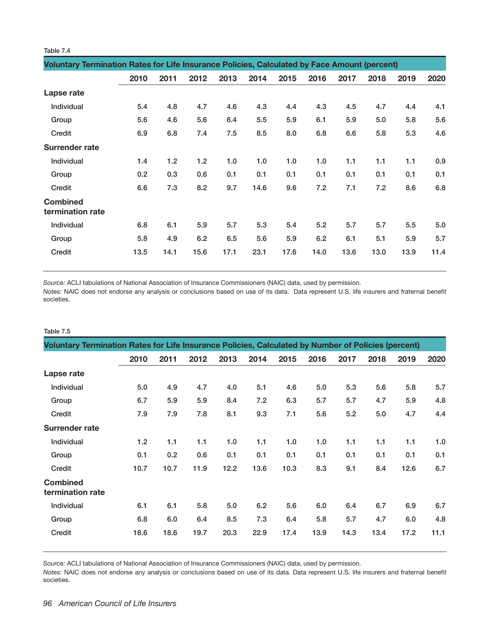| ianie<br>× |
|------------|
|------------|

|                                     | Voluntary Termination Rates for Life Insurance Policies, Calculated by Face Amount (percent) |      |      |      |      |      |      |      |      |      |      |
|-------------------------------------|----------------------------------------------------------------------------------------------|------|------|------|------|------|------|------|------|------|------|
|                                     | 2010                                                                                         | 2011 | 2012 | 2013 | 2014 | 2015 | 2016 | 2017 | 2018 | 2019 | 2020 |
| Lapse rate                          |                                                                                              |      |      |      |      |      |      |      |      |      |      |
| Individual                          | 5.4                                                                                          | 4.8  | 4.7  | 4.6  | 4.3  | 4.4  | 4.3  | 4.5  | 4.7  | 4.4  | 4.1  |
| Group                               | 5.6                                                                                          | 4.6  | 5.6  | 6.4  | 5.5  | 5.9  | 6.1  | 5.9  | 5.0  | 5.8  | 5.6  |
| Credit                              | 6.9                                                                                          | 6.8  | 7.4  | 7.5  | 8.5  | 8.0  | 6.8  | 6.6  | 5.8  | 5.3  | 4.6  |
| <b>Surrender rate</b>               |                                                                                              |      |      |      |      |      |      |      |      |      |      |
| Individual                          | 1.4                                                                                          | 1.2  | 1.2  | 1.0  | 1.0  | 1.0  | 1.0  | 1.1  | 1.1  | 1.1  | 0.9  |
| Group                               | 0.2                                                                                          | 0.3  | 0.6  | 0.1  | 0.1  | 0.1  | 0.1  | 0.1  | 0.1  | 0.1  | 0.1  |
| Credit                              | 6.6                                                                                          | 7.3  | 8.2  | 9.7  | 14.6 | 9.6  | 7.2  | 7.1  | 7.2  | 8.6  | 6.8  |
| <b>Combined</b><br>termination rate |                                                                                              |      |      |      |      |      |      |      |      |      |      |
| <b>Individual</b>                   | 6.8                                                                                          | 6.1  | 5.9  | 5.7  | 5.3  | 5.4  | 5.2  | 5.7  | 5.7  | 5.5  | 5.0  |
| Group                               | 5.8                                                                                          | 4.9  | 6.2  | 6.5  | 5.6  | 5.9  | 6.2  | 6.1  | 5.1  | 5.9  | 5.7  |
| Credit                              | 13.5                                                                                         | 14.1 | 15.6 | 17.1 | 23.1 | 17.6 | 14.0 | 13.6 | 13.0 | 13.9 | 11.4 |

*Source:* ACLI tabulations of National Association of Insurance Commissioners (NAIC) data, used by permission.

*Notes:* NAIC does not endorse any analysis or conclusions based on use of its data. Data represent U.S. life insurers and fraternal benefit societies.

#### Table 7.5

| Voluntary Termination Rates for Life Insurance Policies, Calculated by Number of Policies (percent) |      |      |      |      |      |      |      |      |      |      |      |
|-----------------------------------------------------------------------------------------------------|------|------|------|------|------|------|------|------|------|------|------|
|                                                                                                     | 2010 | 2011 | 2012 | 2013 | 2014 | 2015 | 2016 | 2017 | 2018 | 2019 | 2020 |
| Lapse rate                                                                                          |      |      |      |      |      |      |      |      |      |      |      |
| Individual                                                                                          | 5.0  | 4.9  | 4.7  | 4.0  | 5.1  | 4.6  | 5.0  | 5.3  | 5.6  | 5.8  | 5.7  |
| Group                                                                                               | 6.7  | 5.9  | 5.9  | 8.4  | 7.2  | 6.3  | 5.7  | 5.7  | 4.7  | 5.9  | 4.8  |
| Credit                                                                                              | 7.9  | 7.9  | 7.8  | 8.1  | 9.3  | 7.1  | 5.6  | 5.2  | 5.0  | 4.7  | 4.4  |
| <b>Surrender rate</b>                                                                               |      |      |      |      |      |      |      |      |      |      |      |
| Individual                                                                                          | 1.2  | 1.1  | 1.1  | 1.0  | 1.1  | 1.0  | 1.0  | 1.1  | 1.1  | 1.1  | 1.0  |
| Group                                                                                               | 0.1  | 0.2  | 0.6  | 0.1  | 0.1  | 0.1  | 0.1  | 0.1  | 0.1  | 0.1  | 0.1  |
| Credit                                                                                              | 10.7 | 10.7 | 11.9 | 12.2 | 13.6 | 10.3 | 8.3  | 9.1  | 8.4  | 12.6 | 6.7  |
| <b>Combined</b><br>termination rate                                                                 |      |      |      |      |      |      |      |      |      |      |      |
| Individual                                                                                          | 6.1  | 6.1  | 5.8  | 5.0  | 6.2  | 5.6  | 6.0  | 6.4  | 6.7  | 6.9  | 6.7  |
| Group                                                                                               | 6.8  | 6.0  | 6.4  | 8.5  | 7.3  | 6.4  | 5.8  | 5.7  | 4.7  | 6.0  | 4.8  |
| Credit                                                                                              | 18.6 | 18.6 | 19.7 | 20.3 | 22.9 | 17.4 | 13.9 | 14.3 | 13.4 | 17.2 | 11.1 |

*Source:* ACLI tabulations of National Association of Insurance Commissioners (NAIC) data, used by permission.

*Notes:* NAIC does not endorse any analysis or conclusions based on use of its data. Data represent U.S. life insurers and fraternal benefit societies.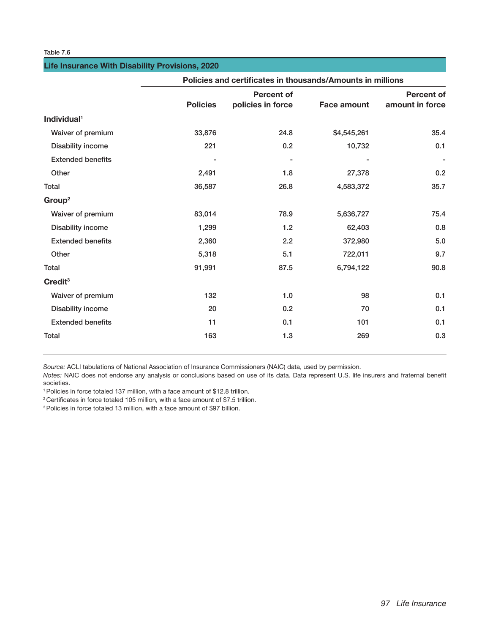## **Life Insurance With Disability Provisions, 2020**

|                          | Policies and certificates in thousands/Amounts in millions |                   |                    |                   |  |  |  |  |  |  |
|--------------------------|------------------------------------------------------------|-------------------|--------------------|-------------------|--|--|--|--|--|--|
|                          |                                                            | <b>Percent of</b> |                    | <b>Percent of</b> |  |  |  |  |  |  |
|                          | <b>Policies</b>                                            | policies in force | <b>Face amount</b> | amount in force   |  |  |  |  |  |  |
| Individual <sup>1</sup>  |                                                            |                   |                    |                   |  |  |  |  |  |  |
| Waiver of premium        | 33,876                                                     | 24.8              | \$4,545,261        | 35.4              |  |  |  |  |  |  |
| Disability income        | 221                                                        | 0.2               | 10,732             | 0.1               |  |  |  |  |  |  |
| <b>Extended benefits</b> |                                                            |                   |                    |                   |  |  |  |  |  |  |
| Other                    | 2,491                                                      | 1.8               | 27,378             | 0.2               |  |  |  |  |  |  |
| Total                    | 36,587                                                     | 26.8              | 4,583,372          | 35.7              |  |  |  |  |  |  |
| Group <sup>2</sup>       |                                                            |                   |                    |                   |  |  |  |  |  |  |
| Waiver of premium        | 83,014                                                     | 78.9              | 5,636,727          | 75.4              |  |  |  |  |  |  |
| Disability income        | 1,299                                                      | 1.2               | 62,403             | 0.8               |  |  |  |  |  |  |
| <b>Extended benefits</b> | 2,360                                                      | 2.2               | 372,980            | 5.0               |  |  |  |  |  |  |
| Other                    | 5,318                                                      | 5.1               | 722,011            | 9.7               |  |  |  |  |  |  |
| Total                    | 91,991                                                     | 87.5              | 6,794,122          | 90.8              |  |  |  |  |  |  |
| Credit <sup>3</sup>      |                                                            |                   |                    |                   |  |  |  |  |  |  |
| Waiver of premium        | 132                                                        | 1.0               | 98                 | 0.1               |  |  |  |  |  |  |
| Disability income        | 20                                                         | 0.2               | 70                 | 0.1               |  |  |  |  |  |  |
| <b>Extended benefits</b> | 11                                                         | 0.1               | 101                | 0.1               |  |  |  |  |  |  |
| <b>Total</b>             | 163                                                        | 1.3               | 269                | 0.3               |  |  |  |  |  |  |

*Source:* ACLI tabulations of National Association of Insurance Commissioners (NAIC) data, used by permission.

*Notes:* NAIC does not endorse any analysis or conclusions based on use of its data. Data represent U.S. life insurers and fraternal benefit

<sup>1</sup> Policies in force totaled 137 million, with a face amount of \$12.8 trillion.<br><sup>2</sup> Certificates in force totaled 105 million, with a face amount of \$7.5 trillion.

<sup>3</sup> Policies in force totaled 13 million, with a face amount of \$97 billion.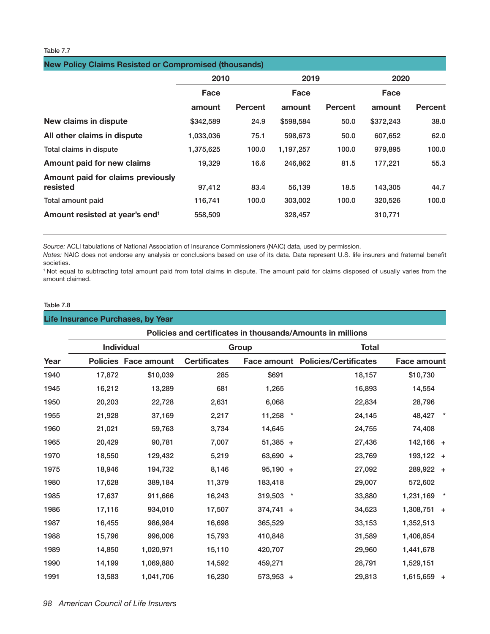| <b>New Policy Claims Resisted or Compromised (thousands)</b> |           |                |           |                |           |                |  |  |  |  |
|--------------------------------------------------------------|-----------|----------------|-----------|----------------|-----------|----------------|--|--|--|--|
|                                                              | 2010      |                | 2019      |                | 2020      |                |  |  |  |  |
|                                                              | Face      |                |           |                | Face      |                |  |  |  |  |
|                                                              | amount    | <b>Percent</b> | amount    | <b>Percent</b> | amount    | <b>Percent</b> |  |  |  |  |
| New claims in dispute                                        | \$342,589 | 24.9           | \$598,584 | 50.0           | \$372,243 | 38.0           |  |  |  |  |
| All other claims in dispute                                  | 1,033,036 | 75.1           | 598,673   | 50.0           | 607,652   | 62.0           |  |  |  |  |
| Total claims in dispute                                      | 1,375,625 | 100.0          | 1,197,257 | 100.0          | 979.895   | 100.0          |  |  |  |  |
| Amount paid for new claims                                   | 19,329    | 16.6           | 246,862   | 81.5           | 177,221   | 55.3           |  |  |  |  |
| Amount paid for claims previously<br>resisted                | 97,412    | 83.4           | 56,139    | 18.5           | 143,305   | 44.7           |  |  |  |  |
| Total amount paid                                            | 116,741   | 100.0          | 303,002   | 100.0          | 320,526   | 100.0          |  |  |  |  |
| Amount resisted at year's end <sup>1</sup>                   | 558,509   |                | 328,457   |                | 310,771   |                |  |  |  |  |

*Source:* ACLI tabulations of National Association of Insurance Commissioners (NAIC) data, used by permission.

*Notes:* NAIC does not endorse any analysis or conclusions based on use of its data. Data represent U.S. life insurers and fraternal benefit

1 Not equal to subtracting total amount paid from total claims in dispute. The amount paid for claims disposed of usually varies from the amount claimed.

## Table 7.8

## **Life Insurance Purchases, by Year**

|      |        |                             | Policies and certificates in thousands/Amounts in millions |             |                                          |                    |  |  |  |  |
|------|--------|-----------------------------|------------------------------------------------------------|-------------|------------------------------------------|--------------------|--|--|--|--|
|      |        | <b>Individual</b>           |                                                            | Group       | <b>Total</b>                             |                    |  |  |  |  |
| Year |        | <b>Policies Face amount</b> | <b>Certificates</b>                                        |             | <b>Face amount Policies/Certificates</b> | <b>Face amount</b> |  |  |  |  |
| 1940 | 17,872 | \$10,039                    | 285                                                        | \$691       | 18,157                                   | \$10,730           |  |  |  |  |
| 1945 | 16,212 | 13,289                      | 681                                                        | 1,265       | 16,893                                   | 14,554             |  |  |  |  |
| 1950 | 20,203 | 22,728                      | 2,631                                                      | 6,068       | 22,834                                   | 28,796             |  |  |  |  |
| 1955 | 21,928 | 37,169                      | 2,217                                                      | 11,258      | $\ast$<br>24,145                         | 48,427             |  |  |  |  |
| 1960 | 21,021 | 59,763                      | 3,734                                                      | 14,645      | 24,755                                   | 74,408             |  |  |  |  |
| 1965 | 20,429 | 90,781                      | 7,007                                                      | $51,385 +$  | 27,436                                   | 142,166 +          |  |  |  |  |
| 1970 | 18,550 | 129,432                     | 5,219                                                      | 63,690 +    | 23,769                                   | 193,122 +          |  |  |  |  |
| 1975 | 18,946 | 194,732                     | 8,146                                                      | $95,190 +$  | 27,092                                   | 289,922 +          |  |  |  |  |
| 1980 | 17,628 | 389,184                     | 11,379                                                     | 183,418     | 29,007                                   | 572,602            |  |  |  |  |
| 1985 | 17,637 | 911,666                     | 16,243                                                     | 319,503     | 33,880<br>$\ast$                         | 1,231,169          |  |  |  |  |
| 1986 | 17,116 | 934,010                     | 17,507                                                     | $374,741 +$ | 34,623                                   | $1,308,751 +$      |  |  |  |  |
| 1987 | 16,455 | 986,984                     | 16,698                                                     | 365,529     | 33,153                                   | 1,352,513          |  |  |  |  |
| 1988 | 15,796 | 996,006                     | 15,793                                                     | 410,848     | 31,589                                   | 1,406,854          |  |  |  |  |
| 1989 | 14,850 | 1,020,971                   | 15,110                                                     | 420,707     | 29,960                                   | 1,441,678          |  |  |  |  |
| 1990 | 14,199 | 1,069,880                   | 14,592                                                     | 459,271     | 28,791                                   | 1,529,151          |  |  |  |  |
| 1991 | 13,583 | 1,041,706                   | 16,230                                                     | 573,953 +   | 29,813                                   | 1,615,659 +        |  |  |  |  |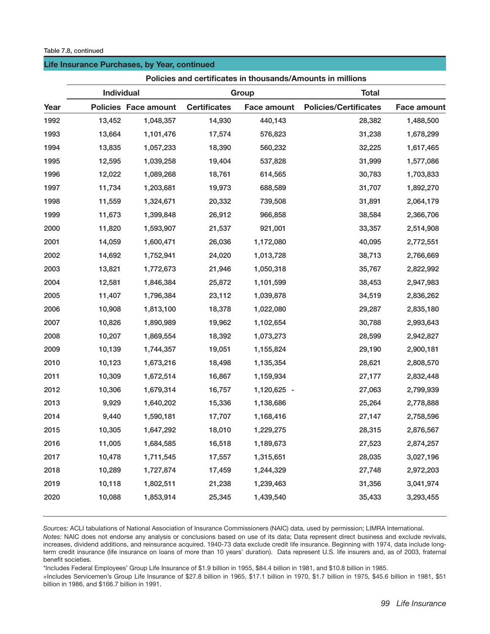#### Table 7.8, continued

#### **Life Insurance Purchases, by Year, continued**

|      |            |                             | Policies and certificates in thousands/Amounts in millions |                    |                              |                    |  |  |  |
|------|------------|-----------------------------|------------------------------------------------------------|--------------------|------------------------------|--------------------|--|--|--|
|      | Individual |                             |                                                            | Group              | <b>Total</b>                 |                    |  |  |  |
| Year |            | <b>Policies Face amount</b> | <b>Certificates</b>                                        | <b>Face amount</b> | <b>Policies/Certificates</b> | <b>Face amount</b> |  |  |  |
| 1992 | 13,452     | 1,048,357                   | 14,930                                                     | 440,143            | 28,382                       | 1,488,500          |  |  |  |
| 1993 | 13,664     | 1,101,476                   | 17,574                                                     | 576,823            | 31,238                       | 1,678,299          |  |  |  |
| 1994 | 13,835     | 1,057,233                   | 18,390                                                     | 560,232            | 32,225                       | 1,617,465          |  |  |  |
| 1995 | 12,595     | 1,039,258                   | 19,404                                                     | 537,828            | 31,999                       | 1,577,086          |  |  |  |
| 1996 | 12,022     | 1,089,268                   | 18,761                                                     | 614,565            | 30,783                       | 1,703,833          |  |  |  |
| 1997 | 11,734     | 1,203,681                   | 19,973                                                     | 688,589            | 31,707                       | 1,892,270          |  |  |  |
| 1998 | 11,559     | 1,324,671                   | 20,332                                                     | 739,508            | 31,891                       | 2,064,179          |  |  |  |
| 1999 | 11,673     | 1,399,848                   | 26,912                                                     | 966,858            | 38,584                       | 2,366,706          |  |  |  |
| 2000 | 11,820     | 1,593,907                   | 21,537                                                     | 921,001            | 33,357                       | 2,514,908          |  |  |  |
| 2001 | 14,059     | 1,600,471                   | 26,036                                                     | 1,172,080          | 40,095                       | 2,772,551          |  |  |  |
| 2002 | 14,692     | 1,752,941                   | 24,020                                                     | 1,013,728          | 38,713                       | 2,766,669          |  |  |  |
| 2003 | 13,821     | 1,772,673                   | 21,946                                                     | 1,050,318          | 35,767                       | 2,822,992          |  |  |  |
| 2004 | 12,581     | 1,846,384                   | 25,872                                                     | 1,101,599          | 38,453                       | 2,947,983          |  |  |  |
| 2005 | 11,407     | 1,796,384                   | 23,112                                                     | 1,039,878          | 34,519                       | 2,836,262          |  |  |  |
| 2006 | 10,908     | 1,813,100                   | 18,378                                                     | 1,022,080          | 29,287                       | 2,835,180          |  |  |  |
| 2007 | 10,826     | 1,890,989                   | 19,962                                                     | 1,102,654          | 30,788                       | 2,993,643          |  |  |  |
| 2008 | 10,207     | 1,869,554                   | 18,392                                                     | 1,073,273          | 28,599                       | 2,942,827          |  |  |  |
| 2009 | 10,139     | 1,744,357                   | 19,051                                                     | 1,155,824          | 29,190                       | 2,900,181          |  |  |  |
| 2010 | 10,123     | 1,673,216                   | 18,498                                                     | 1,135,354          | 28,621                       | 2,808,570          |  |  |  |
| 2011 | 10,309     | 1,672,514                   | 16,867                                                     | 1,159,934          | 27,177                       | 2,832,448          |  |  |  |
| 2012 | 10,306     | 1,679,314                   | 16,757                                                     | 1,120,625 -        | 27,063                       | 2,799,939          |  |  |  |
| 2013 | 9,929      | 1,640,202                   | 15,336                                                     | 1,138,686          | 25,264                       | 2,778,888          |  |  |  |
| 2014 | 9,440      | 1,590,181                   | 17,707                                                     | 1,168,416          | 27,147                       | 2,758,596          |  |  |  |
| 2015 | 10,305     | 1,647,292                   | 18,010                                                     | 1,229,275          | 28,315                       | 2,876,567          |  |  |  |
| 2016 | 11,005     | 1,684,585                   | 16,518                                                     | 1,189,673          | 27,523                       | 2,874,257          |  |  |  |
| 2017 | 10,478     | 1,711,545                   | 17,557                                                     | 1,315,651          | 28,035                       | 3,027,196          |  |  |  |
| 2018 | 10,289     | 1,727,874                   | 17,459                                                     | 1,244,329          | 27,748                       | 2,972,203          |  |  |  |
| 2019 | 10,118     | 1,802,511                   | 21,238                                                     | 1,239,463          | 31,356                       | 3,041,974          |  |  |  |
| 2020 | 10,088     | 1,853,914                   | 25,345                                                     | 1,439,540          | 35,433                       | 3,293,455          |  |  |  |
|      |            |                             |                                                            |                    |                              |                    |  |  |  |

*Sources:* ACLI tabulations of National Association of Insurance Commissioners (NAIC) data, used by permission; LIMRA International.

*Notes:* NAIC does not endorse any analysis or conclusions based on use of its data; Data represent direct business and exclude revivals, increases, dividend additions, and reinsurance acquired. 1940-73 data exclude credit life insurance. Beginning with 1974, data include longterm credit insurance (life insurance on loans of more than 10 years' duration). Data represent U.S. life insurers and, as of 2003, fraternal benefit societies.

\*Includes Federal Employees' Group Life Insurance of \$1.9 billion in 1955, \$84.4 billion in 1981, and \$10.8 billion in 1985.

+Includes Servicemen's Group Life Insurance of \$27.8 billion in 1965, \$17.1 billion in 1970, \$1.7 billion in 1975, \$45.6 billion in 1981, \$51 billion in 1986, and \$166.7 billion in 1991.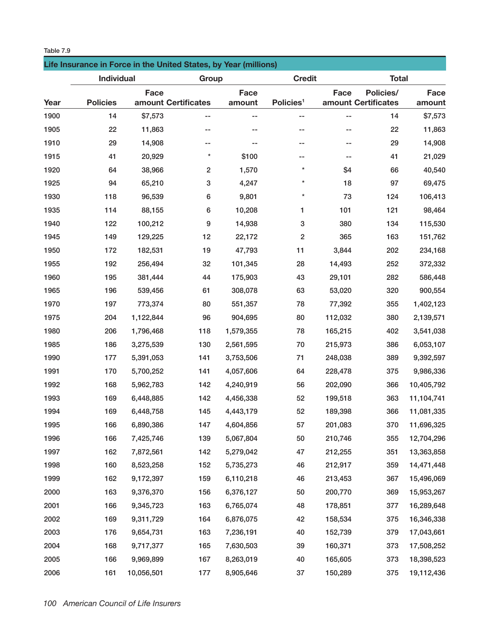| Table 7.9 |                   |                                                                  |                         |                       |                       |               |                                  |  |
|-----------|-------------------|------------------------------------------------------------------|-------------------------|-----------------------|-----------------------|---------------|----------------------------------|--|
|           |                   | Life Insurance in Force in the United States, by Year (millions) |                         |                       |                       |               |                                  |  |
|           | <b>Individual</b> |                                                                  | Group                   |                       |                       | <b>Credit</b> |                                  |  |
| Year      | <b>Policies</b>   | <b>Face</b><br>amount Certificates                               |                         | <b>Face</b><br>amount | Policies <sup>1</sup> | Face          | Policies/<br>amount Certificates |  |
| 1900      | 14                | \$7,573                                                          |                         |                       |                       |               | 14                               |  |
| 1905      | 22                | 11,863                                                           |                         | --                    |                       |               | 22                               |  |
| 1910      | 29                | 14,908                                                           | --                      | --                    |                       |               | 29                               |  |
| 1915      | 41                | 20,929                                                           | $^\star$                | \$100                 | --                    |               | 41                               |  |
| 1920      | 64                | 38,966                                                           | $\overline{\mathbf{c}}$ | 1,570                 | $\star$               | \$4           | 66                               |  |
| 1925      | 94                | 65,210                                                           | 3                       | 4,247                 | $^\star$              | 18            | 97                               |  |
| 1930      | 118               | 96,539                                                           | 6                       | 9,801                 | $^\star$              | 73            | 124                              |  |
| 1935      | 114               | 88,155                                                           | 6                       | 10,208                | 1                     | 101           | 121                              |  |
| 1940      | 122               | 100,212                                                          | 9                       | 14,938                | 3                     | 380           | 134                              |  |
| 1945      | 149               | 129,225                                                          | 12                      | 22,172                | $\overline{2}$        | 365           | 163                              |  |
| 1050      | 170               | 100 501                                                          | 10.                     | 17.702                | 11.                   | 2011          | ∩∩פ                              |  |

**Face amount**

| 1900 | 14  | \$7,573    |                         | --        |                           | --      | 14  | \$7,573    |
|------|-----|------------|-------------------------|-----------|---------------------------|---------|-----|------------|
| 1905 | 22  | 11,863     |                         |           |                           | --      | 22  | 11,863     |
| 1910 | 29  | 14,908     |                         |           | $\sim$ $-$                | ۰-      | 29  | 14,908     |
| 1915 | 41  | 20,929     | $\star$                 | \$100     | ۰-                        | ۰-      | 41  | 21,029     |
| 1920 | 64  | 38,966     | $\overline{\mathbf{c}}$ | 1,570     | $^\star$                  | \$4     | 66  | 40,540     |
| 1925 | 94  | 65,210     | 3                       | 4,247     | $\star$                   | 18      | 97  | 69,475     |
| 1930 | 118 | 96,539     | 6                       | 9,801     | $\star$                   | 73      | 124 | 106,413    |
| 1935 | 114 | 88,155     | 6                       | 10,208    | 1                         | 101     | 121 | 98,464     |
| 1940 | 122 | 100,212    | 9                       | 14,938    | $\ensuremath{\mathsf{3}}$ | 380     | 134 | 115,530    |
| 1945 | 149 | 129,225    | 12                      | 22,172    | 2                         | 365     | 163 | 151,762    |
| 1950 | 172 | 182,531    | 19                      | 47,793    | 11                        | 3,844   | 202 | 234,168    |
| 1955 | 192 | 256,494    | 32                      | 101,345   | 28                        | 14,493  | 252 | 372,332    |
| 1960 | 195 | 381,444    | 44                      | 175,903   | 43                        | 29,101  | 282 | 586,448    |
| 1965 | 196 | 539,456    | 61                      | 308,078   | 63                        | 53,020  | 320 | 900,554    |
| 1970 | 197 | 773,374    | 80                      | 551,357   | 78                        | 77,392  | 355 | 1,402,123  |
| 1975 | 204 | 1,122,844  | 96                      | 904,695   | 80                        | 112,032 | 380 | 2,139,571  |
| 1980 | 206 | 1,796,468  | 118                     | 1,579,355 | 78                        | 165,215 | 402 | 3,541,038  |
| 1985 | 186 | 3,275,539  | 130                     | 2,561,595 | 70                        | 215,973 | 386 | 6,053,107  |
| 1990 | 177 | 5,391,053  | 141                     | 3,753,506 | 71                        | 248,038 | 389 | 9,392,597  |
| 1991 | 170 | 5,700,252  | 141                     | 4,057,606 | 64                        | 228,478 | 375 | 9,986,336  |
| 1992 | 168 | 5,962,783  | 142                     | 4,240,919 | 56                        | 202,090 | 366 | 10,405,792 |
| 1993 | 169 | 6,448,885  | 142                     | 4,456,338 | 52                        | 199,518 | 363 | 11,104,741 |
| 1994 | 169 | 6,448,758  | 145                     | 4,443,179 | 52                        | 189,398 | 366 | 11,081,335 |
| 1995 | 166 | 6,890,386  | 147                     | 4,604,856 | 57                        | 201,083 | 370 | 11,696,325 |
| 1996 | 166 | 7,425,746  | 139                     | 5,067,804 | 50                        | 210,746 | 355 | 12,704,296 |
| 1997 | 162 | 7,872,561  | 142                     | 5,279,042 | 47                        | 212,255 | 351 | 13,363,858 |
| 1998 | 160 | 8,523,258  | 152                     | 5,735,273 | 46                        | 212,917 | 359 | 14,471,448 |
| 1999 | 162 | 9,172,397  | 159                     | 6,110,218 | 46                        | 213,453 | 367 | 15,496,069 |
| 2000 | 163 | 9,376,370  | 156                     | 6,376,127 | 50                        | 200,770 | 369 | 15,953,267 |
| 2001 | 166 | 9,345,723  | 163                     | 6,765,074 | 48                        | 178,851 | 377 | 16,289,648 |
| 2002 | 169 | 9,311,729  | 164                     | 6,876,075 | 42                        | 158,534 | 375 | 16,346,338 |
| 2003 | 176 | 9,654,731  | 163                     | 7,236,191 | 40                        | 152,739 | 379 | 17,043,661 |
| 2004 | 168 | 9,717,377  | 165                     | 7,630,503 | 39                        | 160,371 | 373 | 17,508,252 |
| 2005 | 166 | 9,969,899  | 167                     | 8,263,019 | 40                        | 165,605 | 373 | 18,398,523 |
| 2006 | 161 | 10,056,501 | 177                     | 8,905,646 | 37                        | 150,289 | 375 | 19,112,436 |
|      |     |            |                         |           |                           |         |     |            |